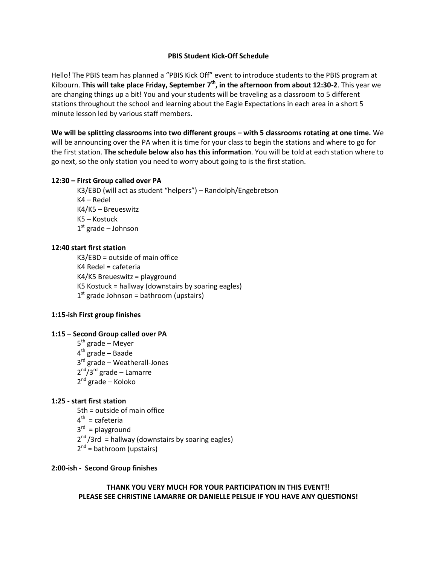#### **PBIS Student Kick-Off Schedule**

Hello! The PBIS team has planned a "PBIS Kick Off" event to introduce students to the PBIS program at Kilbourn. **This will take place Friday, September 7th, in the afternoon from about 12:30-2**. This year we are changing things up a bit! You and your students will be traveling as a classroom to 5 different stations throughout the school and learning about the Eagle Expectations in each area in a short 5 minute lesson led by various staff members.

We will be splitting classrooms into two different groups – with 5 classrooms rotating at one time. We will be announcing over the PA when it is time for your class to begin the stations and where to go for the first station. **The schedule below also has this information**. You will be told at each station where to go next, so the only station you need to worry about going to is the first station.

#### **12:30 – First Group called over PA**

K3/EBD (will act as student "helpers") – Randolph/Engebretson K4 – Redel K4/K5 – Breueswitz K5 – Kostuck 1<sup>st</sup> grade – Johnson

### **12:40 start first station**

K3/EBD = outside of main office K4 Redel = cafeteria K4/K5 Breueswitz = playground K5 Kostuck = hallway (downstairs by soaring eagles) 1<sup>st</sup> grade Johnson = bathroom (upstairs)

### **1:15-ish First group finishes**

### **1:15 – Second Group called over PA**

5<sup>th</sup> grade – Meyer 4<sup>th</sup> grade – Baade 3<sup>rd</sup> grade – Weatherall-Jones 2<sup>nd</sup>/3<sup>rd</sup> grade – Lamarre 2<sup>nd</sup> grade – Koloko

### **1:25 - start first station**

5th = outside of main office 4<sup>th</sup> = cafeteria 3<sup>rd</sup> = playground 2<sup>nd</sup>/3rd = hallway (downstairs by soaring eagles) 2<sup>nd</sup> = bathroom (upstairs)

#### **2:00-ish - Second Group finishes**

### **THANK YOU VERY MUCH FOR YOUR PARTICIPATION IN THIS EVENT!! PLEASE SEE CHRISTINE LAMARRE OR DANIELLE PELSUE IF YOU HAVE ANY QUESTIONS!**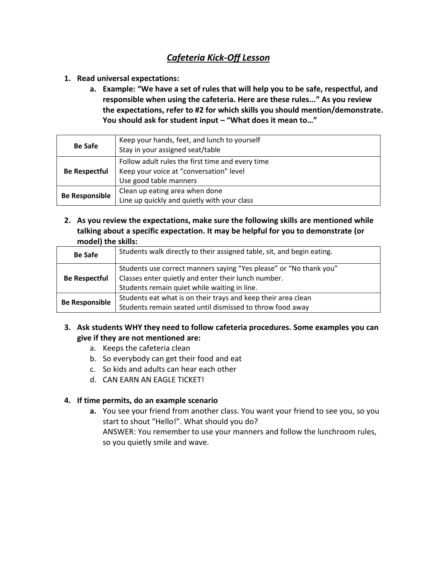# *Cafeteria Kick-Off Lesson*

- **1. Read universal expectations:**
	- **a. Example: "We have a set of rules that will help you to be safe, respectful, and responsible when using the cafeteria. Here are these rules..." As you review the expectations, refer to #2 for which skills you should mention/demonstrate. You should ask for student input – "What does it mean to…"**

| <b>Be Safe</b>        | Keep your hands, feet, and lunch to yourself<br>Stay in your assigned seat/table                                      |
|-----------------------|-----------------------------------------------------------------------------------------------------------------------|
| <b>Be Respectful</b>  | Follow adult rules the first time and every time<br>Keep your voice at "conversation" level<br>Use good table manners |
| <b>Be Responsible</b> | Clean up eating area when done<br>Line up quickly and quietly with your class                                         |

**2. As you review the expectations, make sure the following skills are mentioned while talking about a specific expectation. It may be helpful for you to demonstrate (or model) the skills:**

| <b>Be Safe</b>        | Students walk directly to their assigned table, sit, and begin eating.                                                                                                    |
|-----------------------|---------------------------------------------------------------------------------------------------------------------------------------------------------------------------|
| <b>Be Respectful</b>  | Students use correct manners saying "Yes please" or "No thank you"<br>Classes enter quietly and enter their lunch number.<br>Students remain quiet while waiting in line. |
| <b>Be Responsible</b> | Students eat what is on their trays and keep their area clean<br>Students remain seated until dismissed to throw food away                                                |

## **3. Ask students WHY they need to follow cafeteria procedures. Some examples you can give if they are not mentioned are:**

- a. Keeps the cafeteria clean
- b. So everybody can get their food and eat
- c. So kids and adults can hear each other
- d. CAN EARN AN EAGLE TICKET!

## **4. If time permits, do an example scenario**

**a.** You see your friend from another class. You want your friend to see you, so you start to shout "Hello!". What should you do? ANSWER: You remember to use your manners and follow the lunchroom rules, so you quietly smile and wave.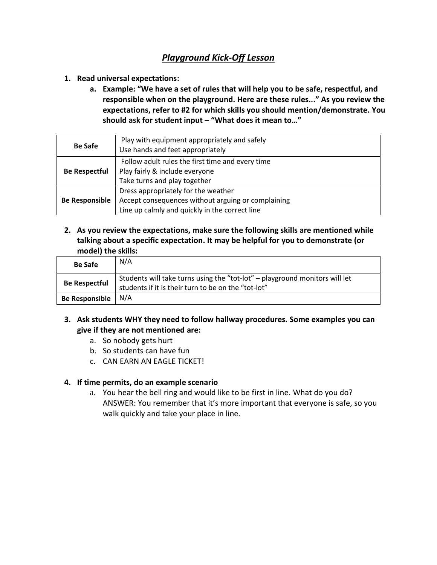# *Playground Kick-Off Lesson*

- **1. Read universal expectations:**
	- **a. Example: "We have a set of rules that will help you to be safe, respectful, and responsible when on the playground. Here are these rules..." As you review the expectations, refer to #2 for which skills you should mention/demonstrate. You should ask for student input – "What does it mean to…"**

| <b>Be Safe</b>        | Play with equipment appropriately and safely<br>Use hands and feet appropriately                                                            |
|-----------------------|---------------------------------------------------------------------------------------------------------------------------------------------|
| <b>Be Respectful</b>  | Follow adult rules the first time and every time<br>Play fairly & include everyone<br>Take turns and play together                          |
| <b>Be Responsible</b> | Dress appropriately for the weather<br>Accept consequences without arguing or complaining<br>Line up calmly and quickly in the correct line |

**2. As you review the expectations, make sure the following skills are mentioned while talking about a specific expectation. It may be helpful for you to demonstrate (or model) the skills:**

| <b>Be Safe</b>        | N/A                                                                                                                                |
|-----------------------|------------------------------------------------------------------------------------------------------------------------------------|
| <b>Be Respectful</b>  | Students will take turns using the "tot-lot" - playground monitors will let<br>students if it is their turn to be on the "tot-lot" |
| <b>Be Responsible</b> | N/A                                                                                                                                |

- **3. Ask students WHY they need to follow hallway procedures. Some examples you can give if they are not mentioned are:**
	- a. So nobody gets hurt
	- b. So students can have fun
	- c. CAN EARN AN EAGLE TICKET!

## **4. If time permits, do an example scenario**

a. You hear the bell ring and would like to be first in line. What do you do? ANSWER: You remember that it's more important that everyone is safe, so you walk quickly and take your place in line.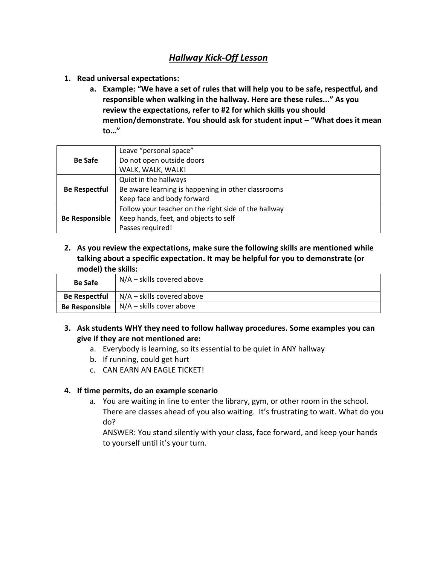## *Hallway Kick-Off Lesson*

- **1. Read universal expectations:**
	- **a. Example: "We have a set of rules that will help you to be safe, respectful, and responsible when walking in the hallway. Here are these rules..." As you review the expectations, refer to #2 for which skills you should mention/demonstrate. You should ask for student input – "What does it mean to…"**

|                       | Leave "personal space"                               |
|-----------------------|------------------------------------------------------|
| <b>Be Safe</b>        | Do not open outside doors                            |
|                       | WALK, WALK, WALK!                                    |
|                       | Quiet in the hallways                                |
| <b>Be Respectful</b>  | Be aware learning is happening in other classrooms   |
|                       | Keep face and body forward                           |
|                       | Follow your teacher on the right side of the hallway |
| <b>Be Responsible</b> | Keep hands, feet, and objects to self                |
|                       | Passes required!                                     |

**2. As you review the expectations, make sure the following skills are mentioned while talking about a specific expectation. It may be helpful for you to demonstrate (or model) the skills:**

| <b>Be Safe</b>        | $N/A$ – skills covered above |
|-----------------------|------------------------------|
| <b>Be Respectful</b>  | $N/A$ – skills covered above |
| <b>Be Responsible</b> | $N/A$ – skills cover above   |

## **3. Ask students WHY they need to follow hallway procedures. Some examples you can give if they are not mentioned are:**

- a. Everybody is learning, so its essential to be quiet in ANY hallway
- b. If running, could get hurt
- c. CAN EARN AN EAGLE TICKET!

## **4. If time permits, do an example scenario**

a. You are waiting in line to enter the library, gym, or other room in the school. There are classes ahead of you also waiting. It's frustrating to wait. What do you do?

ANSWER: You stand silently with your class, face forward, and keep your hands to yourself until it's your turn.